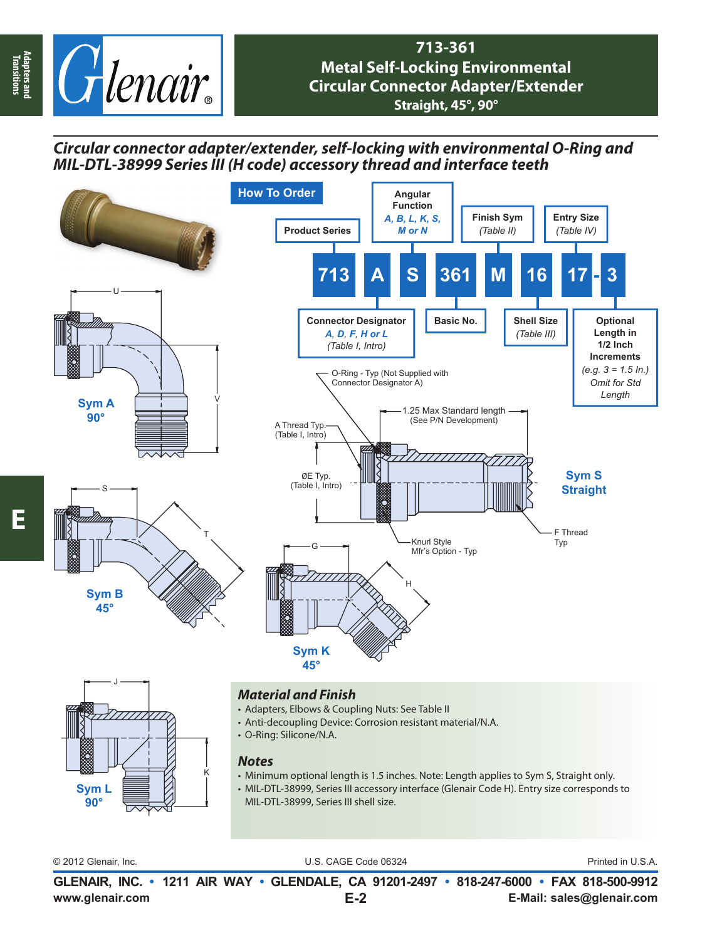

## **713-361 Metal Self-Locking Environmental Circular Connector Adapter/Extender Straight, 45°, 90°**

*Circular connector adapter/extender, self-locking with environmental O-Ring and MIL-DTL-38999 Series III (H code) accessory thread and interface teeth*



- Adapters, Elbows & Coupling Nuts: See Table II
- Anti-decoupling Device: Corrosion resistant material/N.A.
	- O-Ring: Silicone/N.A.

## *Notes*

K

- Minimum optional length is 1.5 inches. Note: Length applies to Sym S, Straight only.
- MIL-DTL-38999, Series III accessory interface (Glenair Code H). Entry size corresponds to MIL-DTL-38999, Series III shell size.

**Sym L 90°**

© 2012 Glenair, Inc. U.S. CAGE Code 06324 Printed in U.S.A.

**www.glenair.com E-Mail: sales@glenair.com GLENAIR, INC. • 1211 AIR WAY • GLENDALE, CA 91201-2497 • 818-247-6000 • FAX 818-500-9912 E-2**

**Adapters and Transitions**

Adapters and<br>Transitions